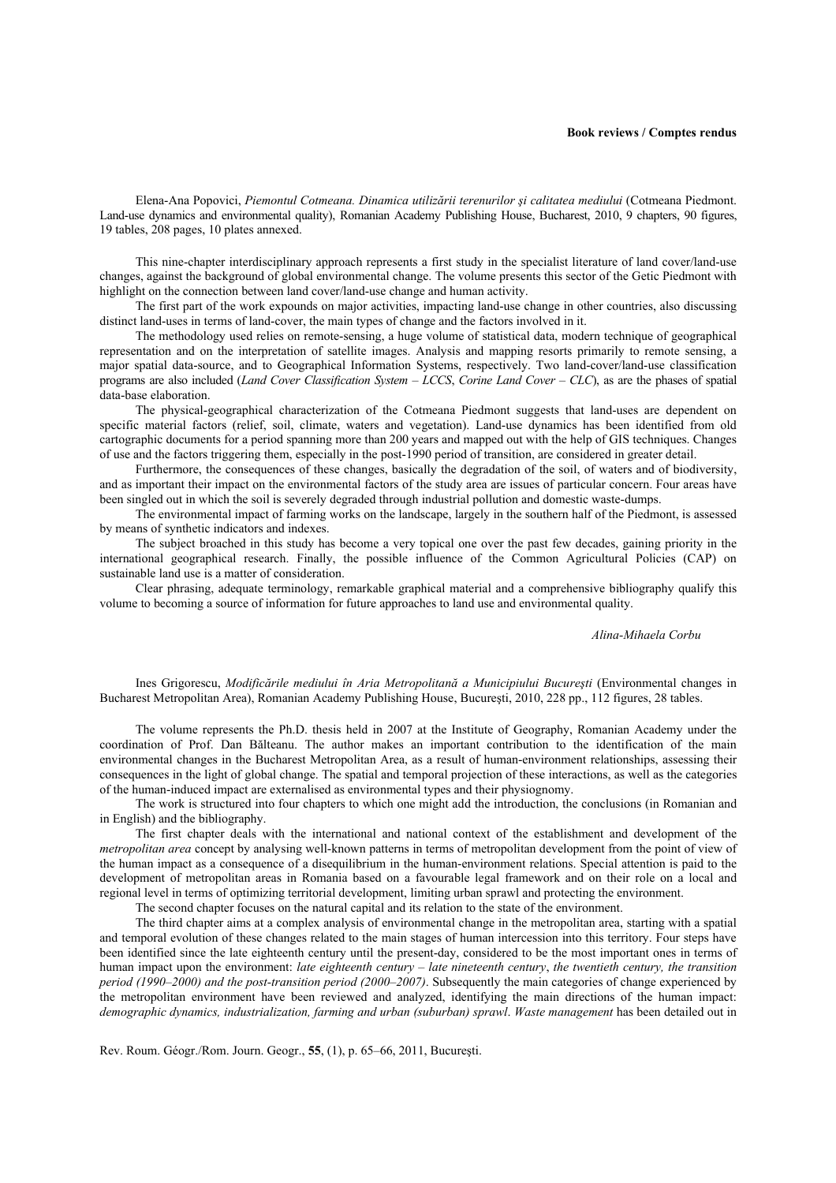## **Book reviews / Comptes rendus**

Elena-Ana Popovici, *Piemontul Cotmeana. Dinamica utilizării terenurilor şi calitatea mediului* (Cotmeana Piedmont. Land-use dynamics and environmental quality), Romanian Academy Publishing House, Bucharest, 2010, 9 chapters, 90 figures, 19 tables, 208 pages, 10 plates annexed.

This nine-chapter interdisciplinary approach represents a first study in the specialist literature of land cover/land-use changes, against the background of global environmental change. The volume presents this sector of the Getic Piedmont with highlight on the connection between land cover/land-use change and human activity.

The first part of the work expounds on major activities, impacting land-use change in other countries, also discussing distinct land-uses in terms of land-cover, the main types of change and the factors involved in it.

The methodology used relies on remote-sensing, a huge volume of statistical data, modern technique of geographical representation and on the interpretation of satellite images. Analysis and mapping resorts primarily to remote sensing, a major spatial data-source, and to Geographical Information Systems, respectively. Two land-cover/land-use classification programs are also included (*Land Cover Classification System – LCCS*, *Corine Land Cover – CLC*), as are the phases of spatial data-base elaboration.

The physical-geographical characterization of the Cotmeana Piedmont suggests that land-uses are dependent on specific material factors (relief, soil, climate, waters and vegetation). Land-use dynamics has been identified from old cartographic documents for a period spanning more than 200 years and mapped out with the help of GIS techniques. Changes of use and the factors triggering them, especially in the post-1990 period of transition, are considered in greater detail.

Furthermore, the consequences of these changes, basically the degradation of the soil, of waters and of biodiversity, and as important their impact on the environmental factors of the study area are issues of particular concern. Four areas have been singled out in which the soil is severely degraded through industrial pollution and domestic waste-dumps.

The environmental impact of farming works on the landscape, largely in the southern half of the Piedmont, is assessed by means of synthetic indicators and indexes.

The subject broached in this study has become a very topical one over the past few decades, gaining priority in the international geographical research. Finally, the possible influence of the Common Agricultural Policies (CAP) on sustainable land use is a matter of consideration.

Clear phrasing, adequate terminology, remarkable graphical material and a comprehensive bibliography qualify this volume to becoming a source of information for future approaches to land use and environmental quality.

## *Alina-Mihaela Corbu*

Ines Grigorescu, *Modificările mediului în Aria Metropolitană a Municipiului Bucureşti* (Environmental changes in Bucharest Metropolitan Area), Romanian Academy Publishing House, Bucureşti, 2010, 228 pp., 112 figures, 28 tables.

The volume represents the Ph.D. thesis held in 2007 at the Institute of Geography, Romanian Academy under the coordination of Prof. Dan Bălteanu. The author makes an important contribution to the identification of the main environmental changes in the Bucharest Metropolitan Area, as a result of human-environment relationships, assessing their consequences in the light of global change. The spatial and temporal projection of these interactions, as well as the categories of the human-induced impact are externalised as environmental types and their physiognomy.

The work is structured into four chapters to which one might add the introduction, the conclusions (in Romanian and in English) and the bibliography.

The first chapter deals with the international and national context of the establishment and development of the *metropolitan area* concept by analysing well-known patterns in terms of metropolitan development from the point of view of the human impact as a consequence of a disequilibrium in the human-environment relations. Special attention is paid to the development of metropolitan areas in Romania based on a favourable legal framework and on their role on a local and regional level in terms of optimizing territorial development, limiting urban sprawl and protecting the environment.

The second chapter focuses on the natural capital and its relation to the state of the environment.

The third chapter aims at a complex analysis of environmental change in the metropolitan area, starting with a spatial and temporal evolution of these changes related to the main stages of human intercession into this territory. Four steps have been identified since the late eighteenth century until the present-day, considered to be the most important ones in terms of human impact upon the environment: *late eighteenth century – late nineteenth century*, *the twentieth century, the transition period (1990–2000) and the post-transition period (2000–2007)*. Subsequently the main categories of change experienced by the metropolitan environment have been reviewed and analyzed, identifying the main directions of the human impact: *demographic dynamics, industrialization, farming and urban (suburban) sprawl*. *Waste management* has been detailed out in

Rev. Roum. Géogr./Rom. Journ. Geogr., **55**, (1), p. 65–66, 2011, Bucureşti.